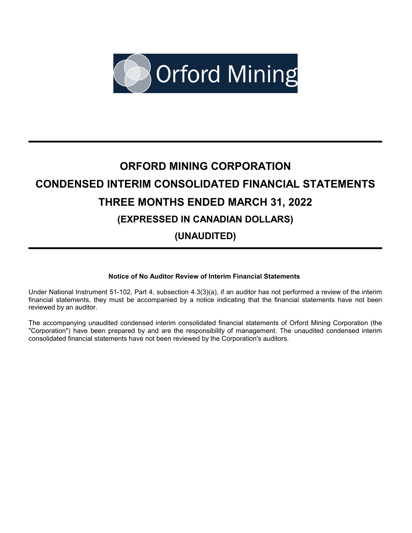

# **ORFORD MINING CORPORATION CONDENSED INTERIM CONSOLIDATED FINANCIAL STATEMENTS THREE MONTHS ENDED MARCH 31, 2022 (EXPRESSED IN CANADIAN DOLLARS) (UNAUDITED)**

# **Notice of No Auditor Review of Interim Financial Statements**

Under National Instrument 51-102, Part 4, subsection 4.3(3)(a), if an auditor has not performed a review of the interim financial statements, they must be accompanied by a notice indicating that the financial statements have not been reviewed by an auditor.

The accompanying unaudited condensed interim consolidated financial statements of Orford Mining Corporation (the "Corporation") have been prepared by and are the responsibility of management. The unaudited condensed interim consolidated financial statements have not been reviewed by the Corporation's auditors.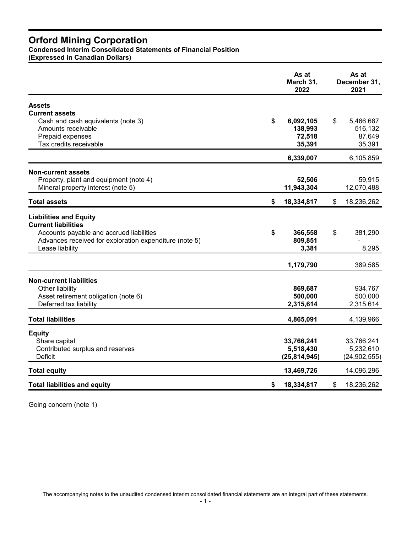**Condensed Interim Consolidated Statements of Financial Position**

**(Expressed in Canadian Dollars)**

|                                                        | As at<br>March 31,<br>2022 | As at<br>December 31,<br>2021 |  |
|--------------------------------------------------------|----------------------------|-------------------------------|--|
| <b>Assets</b>                                          |                            |                               |  |
| <b>Current assets</b>                                  |                            |                               |  |
| Cash and cash equivalents (note 3)                     | \$<br>6,092,105            | \$<br>5,466,687               |  |
| Amounts receivable                                     | 138,993                    | 516,132                       |  |
| Prepaid expenses                                       | 72,518                     | 87,649                        |  |
| Tax credits receivable                                 | 35,391                     | 35,391                        |  |
|                                                        | 6,339,007                  | 6,105,859                     |  |
| <b>Non-current assets</b>                              |                            |                               |  |
| Property, plant and equipment (note 4)                 | 52,506                     | 59,915                        |  |
| Mineral property interest (note 5)                     | 11,943,304                 | 12,070,488                    |  |
| <b>Total assets</b>                                    | \$<br>18,334,817           | \$<br>18,236,262              |  |
| <b>Liabilities and Equity</b>                          |                            |                               |  |
| <b>Current liabilities</b>                             |                            |                               |  |
| Accounts payable and accrued liabilities               | \$<br>366,558              | \$<br>381,290                 |  |
| Advances received for exploration expenditure (note 5) | 809,851                    |                               |  |
| Lease liability                                        | 3,381                      | 8,295                         |  |
|                                                        | 1,179,790                  | 389,585                       |  |
|                                                        |                            |                               |  |
| <b>Non-current liabilities</b>                         |                            |                               |  |
| Other liability                                        | 869,687                    | 934,767                       |  |
| Asset retirement obligation (note 6)                   | 500,000                    | 500,000                       |  |
| Deferred tax liability                                 | 2,315,614                  | 2,315,614                     |  |
| <b>Total liabilities</b>                               | 4,865,091                  | 4,139,966                     |  |
| <b>Equity</b>                                          |                            |                               |  |
| Share capital                                          | 33,766,241                 | 33,766,241                    |  |
| Contributed surplus and reserves                       | 5,518,430                  | 5,232,610                     |  |
| Deficit                                                | (25, 814, 945)             | (24, 902, 555)                |  |
| <b>Total equity</b>                                    | 13,469,726                 | 14,096,296                    |  |
| <b>Total liabilities and equity</b>                    | \$<br>18,334,817           | \$<br>18,236,262              |  |

Going concern (note 1)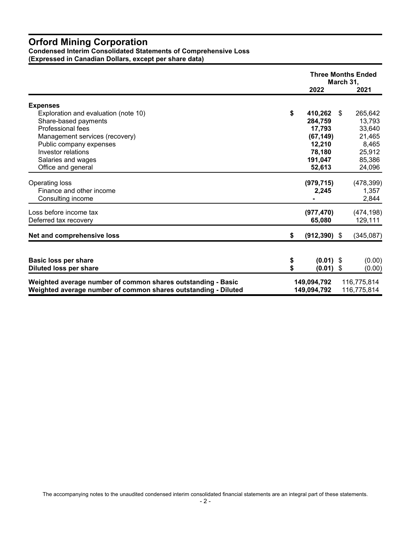**Condensed Interim Consolidated Statements of Comprehensive Loss (Expressed in Canadian Dollars, except per share data)** 

|                                                                                                                                                                                                                  |          | <b>Three Months Ended</b><br>March 31,                                             |      |                                                                              |
|------------------------------------------------------------------------------------------------------------------------------------------------------------------------------------------------------------------|----------|------------------------------------------------------------------------------------|------|------------------------------------------------------------------------------|
|                                                                                                                                                                                                                  |          | 2022                                                                               |      | 2021                                                                         |
| <b>Expenses</b>                                                                                                                                                                                                  |          |                                                                                    |      |                                                                              |
| Exploration and evaluation (note 10)<br>Share-based payments<br>Professional fees<br>Management services (recovery)<br>Public company expenses<br>Investor relations<br>Salaries and wages<br>Office and general | \$       | 410,262<br>284,759<br>17,793<br>(67, 149)<br>12,210<br>78,180<br>191,047<br>52,613 | - \$ | 265,642<br>13,793<br>33,640<br>21,465<br>8,465<br>25,912<br>85,386<br>24,096 |
| Operating loss<br>Finance and other income<br>Consulting income                                                                                                                                                  |          | (979, 715)<br>2,245                                                                |      | (478, 399)<br>1,357<br>2,844                                                 |
| Loss before income tax<br>Deferred tax recovery                                                                                                                                                                  |          | (977, 470)<br>65,080                                                               |      | (474, 198)<br>129,111                                                        |
| Net and comprehensive loss                                                                                                                                                                                       | \$       | $(912, 390)$ \$                                                                    |      | (345,087)                                                                    |
| <b>Basic loss per share</b><br><b>Diluted loss per share</b>                                                                                                                                                     | \$<br>\$ | $(0.01)$ \$<br>$(0.01)$ \$                                                         |      | (0.00)<br>(0.00)                                                             |
| Weighted average number of common shares outstanding - Basic<br>Weighted average number of common shares outstanding - Diluted                                                                                   |          | 149,094,792<br>149,094,792                                                         |      | 116,775,814<br>116,775,814                                                   |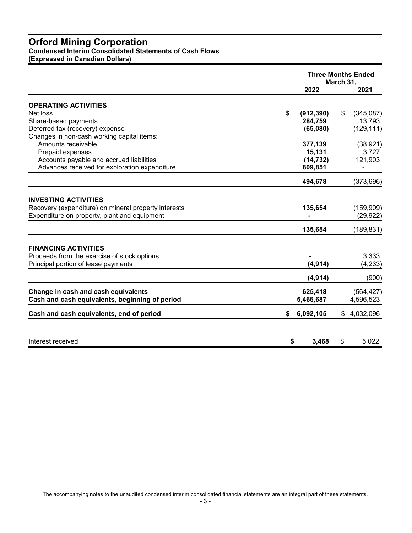**Condensed Interim Consolidated Statements of Cash Flows**

**(Expressed in Canadian Dollars)**

| March 31,<br>2022<br><b>OPERATING ACTIVITIES</b><br>\$<br>Net loss<br>(912, 390)<br>S<br>Share-based payments<br>284,759<br>Deferred tax (recovery) expense<br>(65,080)<br>Changes in non-cash working capital items:<br>Amounts receivable<br>377,139<br>Prepaid expenses<br>15,131<br>Accounts payable and accrued liabilities<br>(14, 732)<br>Advances received for exploration expenditure<br>809,851<br>494,678 | 2021<br>(345,087)<br>13,793<br>(129, 111)<br>(38, 921)<br>3,727<br>121,903 |
|----------------------------------------------------------------------------------------------------------------------------------------------------------------------------------------------------------------------------------------------------------------------------------------------------------------------------------------------------------------------------------------------------------------------|----------------------------------------------------------------------------|
|                                                                                                                                                                                                                                                                                                                                                                                                                      |                                                                            |
|                                                                                                                                                                                                                                                                                                                                                                                                                      |                                                                            |
|                                                                                                                                                                                                                                                                                                                                                                                                                      |                                                                            |
|                                                                                                                                                                                                                                                                                                                                                                                                                      |                                                                            |
|                                                                                                                                                                                                                                                                                                                                                                                                                      |                                                                            |
|                                                                                                                                                                                                                                                                                                                                                                                                                      |                                                                            |
|                                                                                                                                                                                                                                                                                                                                                                                                                      |                                                                            |
|                                                                                                                                                                                                                                                                                                                                                                                                                      |                                                                            |
|                                                                                                                                                                                                                                                                                                                                                                                                                      |                                                                            |
|                                                                                                                                                                                                                                                                                                                                                                                                                      |                                                                            |
|                                                                                                                                                                                                                                                                                                                                                                                                                      | (373, 696)                                                                 |
| <b>INVESTING ACTIVITIES</b><br>Recovery (expenditure) on mineral property interests<br>135,654<br>Expenditure on property, plant and equipment                                                                                                                                                                                                                                                                       | (159,909)<br>(29, 922)                                                     |
| 135,654                                                                                                                                                                                                                                                                                                                                                                                                              | (189, 831)                                                                 |
| <b>FINANCING ACTIVITIES</b><br>Proceeds from the exercise of stock options<br>(4, 914)<br>Principal portion of lease payments                                                                                                                                                                                                                                                                                        | 3,333<br>(4, 233)                                                          |
| (4, 914)                                                                                                                                                                                                                                                                                                                                                                                                             | (900)                                                                      |
| Change in cash and cash equivalents<br>625,418<br>Cash and cash equivalents, beginning of period<br>5,466,687                                                                                                                                                                                                                                                                                                        | (564, 427)<br>4,596,523                                                    |
| 6,092,105<br>Cash and cash equivalents, end of period<br>\$                                                                                                                                                                                                                                                                                                                                                          | \$4,032,096                                                                |
|                                                                                                                                                                                                                                                                                                                                                                                                                      |                                                                            |
| Interest received<br>\$<br>3,468<br>\$                                                                                                                                                                                                                                                                                                                                                                               | 5,022                                                                      |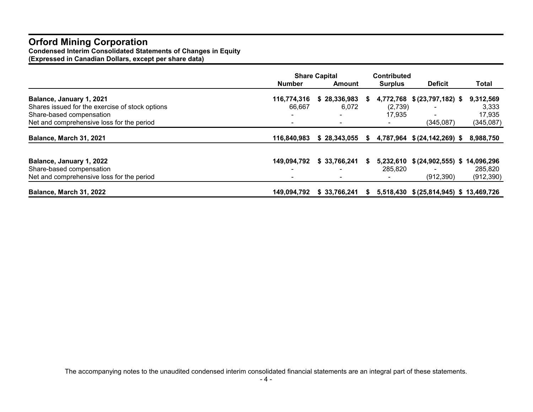**Condensed Interim Consolidated Statements of Changes in Equity**

**(Expressed in Canadian Dollars, except per share data)** 

|                                                 | <b>Share Capital</b>     |                |   | <b>Contributed</b> |                               |            |
|-------------------------------------------------|--------------------------|----------------|---|--------------------|-------------------------------|------------|
|                                                 | Number                   | Amount         |   | <b>Surplus</b>     | <b>Deficit</b>                | Total      |
| Balance, January 1, 2021                        | 116,774,316              | \$28,336,983   | S | 4,772,768          | \$ (23,797,182) \$            | 9,312,569  |
| Shares issued for the exercise of stock options | 66,667                   | 6,072          |   | (2,739)            |                               | 3,333      |
| Share-based compensation                        | $\overline{\phantom{0}}$ | $\blacksquare$ |   | 17.935             | $\blacksquare$                | 17,935     |
| Net and comprehensive loss for the period       |                          |                |   |                    | (345, 087)                    | (345,087)  |
| <b>Balance, March 31, 2021</b>                  | 116,840,983              | \$28,343,055   | S |                    | 4,787,964 \$ (24,142,269) \$  | 8,988,750  |
|                                                 |                          |                |   |                    |                               |            |
| Balance, January 1, 2022                        | 149,094,792              | \$33,766,241   | S | 5,232,610          | $$ (24, 902, 555)$ \$         | 14,096,296 |
| Share-based compensation                        |                          |                |   | 285,820            |                               | 285,820    |
| Net and comprehensive loss for the period       |                          |                |   |                    | (912, 390)                    | (912, 390) |
| Balance, March 31, 2022                         | 149,094,792              | \$33,766,241   | S | 5,518,430          | \$ (25,814,945) \$ 13,469,726 |            |

The accompanying notes to the unaudited condensed interim consolidated financial statements are an integral part of these statements.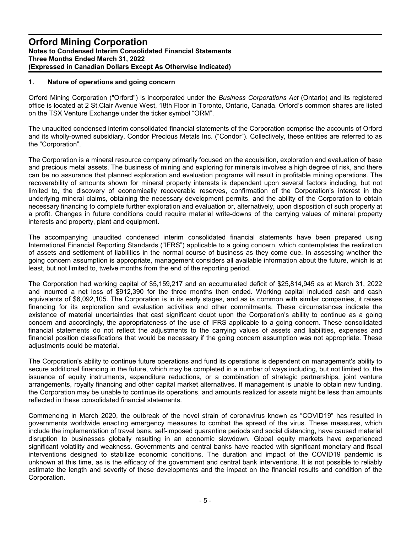#### **1. Nature of operations and going concern**

Orford Mining Corporation ("Orford") is incorporated under the *Business Corporations Act* (Ontario) and its registered office is located at 2 St.Clair Avenue West, 18th Floor in Toronto, Ontario, Canada. Orford's common shares are listed on the TSX Venture Exchange under the ticker symbol "ORM".

The unaudited condensed interim consolidated financial statements of the Corporation comprise the accounts of Orford and its wholly-owned subsidiary, Condor Precious Metals Inc. ("Condor"). Collectively, these entities are referred to as the "Corporation".

The Corporation is a mineral resource company primarily focused on the acquisition, exploration and evaluation of base and precious metal assets. The business of mining and exploring for minerals involves a high degree of risk, and there can be no assurance that planned exploration and evaluation programs will result in profitable mining operations. The recoverability of amounts shown for mineral property interests is dependent upon several factors including, but not limited to, the discovery of economically recoverable reserves, confirmation of the Corporation's interest in the underlying mineral claims, obtaining the necessary development permits, and the ability of the Corporation to obtain necessary financing to complete further exploration and evaluation or, alternatively, upon disposition of such property at a profit. Changes in future conditions could require material write-downs of the carrying values of mineral property interests and property, plant and equipment.

The accompanying unaudited condensed interim consolidated financial statements have been prepared using International Financial Reporting Standards ("IFRS") applicable to a going concern, which contemplates the realization of assets and settlement of liabilities in the normal course of business as they come due. In assessing whether the going concern assumption is appropriate, management considers all available information about the future, which is at least, but not limited to, twelve months from the end of the reporting period.

The Corporation had working capital of \$5,159,217 and an accumulated deficit of \$25,814,945 as at March 31, 2022 and incurred a net loss of \$912,390 for the three months then ended. Working capital included cash and cash equivalents of \$6,092,105. The Corporation is in its early stages, and as is common with similar companies, it raises financing for its exploration and evaluation activities and other commitments. These circumstances indicate the existence of material uncertainties that cast significant doubt upon the Corporation's ability to continue as a going concern and accordingly, the appropriateness of the use of IFRS applicable to a going concern. These consolidated financial statements do not reflect the adjustments to the carrying values of assets and liabilities, expenses and financial position classifications that would be necessary if the going concern assumption was not appropriate. These adiustments could be material.

The Corporation's ability to continue future operations and fund its operations is dependent on management's ability to secure additional financing in the future, which may be completed in a number of ways including, but not limited to, the issuance of equity instruments, expenditure reductions, or a combination of strategic partnerships, joint venture arrangements, royalty financing and other capital market alternatives. If management is unable to obtain new funding, the Corporation may be unable to continue its operations, and amounts realized for assets might be less than amounts reflected in these consolidated financial statements.

Commencing in March 2020, the outbreak of the novel strain of coronavirus known as "COVID19" has resulted in governments worldwide enacting emergency measures to combat the spread of the virus. These measures, which include the implementation of travel bans, self-imposed quarantine periods and social distancing, have caused material disruption to businesses globally resulting in an economic slowdown. Global equity markets have experienced significant volatility and weakness. Governments and central banks have reacted with significant monetary and fiscal interventions designed to stabilize economic conditions. The duration and impact of the COVID19 pandemic is unknown at this time, as is the efficacy of the government and central bank interventions. It is not possible to reliably estimate the length and severity of these developments and the impact on the financial results and condition of the Corporation.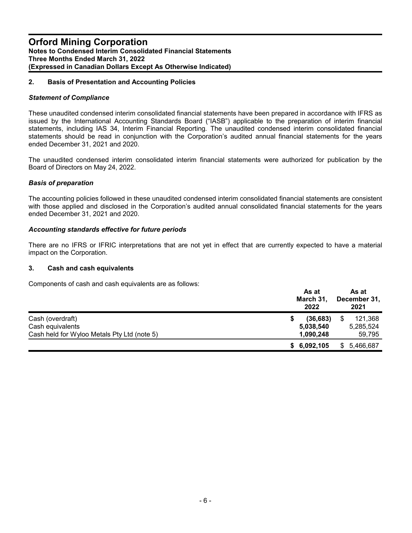## **2. Basis of Presentation and Accounting Policies**

#### *Statement of Compliance*

These unaudited condensed interim consolidated financial statements have been prepared in accordance with IFRS as issued by the International Accounting Standards Board ("IASB") applicable to the preparation of interim financial statements, including IAS 34, Interim Financial Reporting*.* The unaudited condensed interim consolidated financial statements should be read in conjunction with the Corporation's audited annual financial statements for the years ended December 31, 2021 and 2020.

The unaudited condensed interim consolidated interim financial statements were authorized for publication by the Board of Directors on May 24, 2022.

#### *Basis of preparation*

The accounting policies followed in these unaudited condensed interim consolidated financial statements are consistent with those applied and disclosed in the Corporation's audited annual consolidated financial statements for the years ended December 31, 2021 and 2020.

#### *Accounting standards effective for future periods*

There are no IFRS or IFRIC interpretations that are not yet in effect that are currently expected to have a material impact on the Corporation.

#### **3. Cash and cash equivalents**

Components of cash and cash equivalents are as follows:

|                                             | As at<br>As at<br>March 31,<br>December 31,<br>2021<br>2022 |             |  |  |
|---------------------------------------------|-------------------------------------------------------------|-------------|--|--|
| Cash (overdraft)                            | (36, 683)                                                   | 121,368     |  |  |
| Cash equivalents                            | 5,038,540                                                   | 5,285,524   |  |  |
| Cash held for Wyloo Metals Pty Ltd (note 5) | 1,090,248                                                   | 59,795      |  |  |
|                                             | \$6,092,105                                                 | \$5,466,687 |  |  |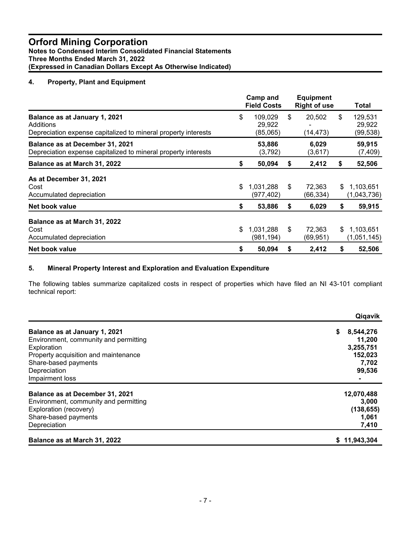# **4. Property, Plant and Equipment**

|                                                                                                              | Camp and<br><b>Field Costs</b>      |    | <b>Equipment</b><br><b>Right of use</b> |    | Total                         |
|--------------------------------------------------------------------------------------------------------------|-------------------------------------|----|-----------------------------------------|----|-------------------------------|
| Balance as at January 1, 2021<br>Additions<br>Depreciation expense capitalized to mineral property interests | \$<br>109,029<br>29,922<br>(85,065) | \$ | 20,502<br>(14,473)                      | \$ | 129,531<br>29,922<br>(99,538) |
| Balance as at December 31, 2021<br>Depreciation expense capitalized to mineral property interests            | 53,886<br>(3,792)                   |    | 6,029<br>(3,617)                        |    | 59,915<br>(7, 409)            |
| Balance as at March 31, 2022                                                                                 | \$<br>50,094                        | S  | 2,412                                   | \$ | 52,506                        |
| As at December 31, 2021<br>Cost<br>Accumulated depreciation                                                  | \$<br>1,031,288<br>(977, 402)       | \$ | 72,363<br>(66, 334)                     | S. | 1,103,651<br>(1,043,736)      |
| Net book value                                                                                               | \$<br>53,886                        | \$ | 6,029                                   | \$ | 59,915                        |
| Balance as at March 31, 2022<br>Cost<br>Accumulated depreciation                                             | \$<br>1,031,288<br>(981, 194)       | \$ | 72,363<br>(69, 951)                     | \$ | 1,103,651<br>(1,051,145)      |
| Net book value                                                                                               | \$<br>50,094                        | \$ | 2,412                                   | \$ | 52,506                        |

#### **5. Mineral Property Interest and Exploration and Evaluation Expenditure**

The following tables summarize capitalized costs in respect of properties which have filed an NI 43-101 compliant technical report:

|                                       | Qiqavik        |
|---------------------------------------|----------------|
| Balance as at January 1, 2021         | 8,544,276<br>S |
| Environment, community and permitting | 11,200         |
| Exploration                           | 3,255,751      |
| Property acquisition and maintenance  | 152,023        |
| Share-based payments                  | 7,702          |
| Depreciation                          | 99,536         |
| Impairment loss                       |                |
| Balance as at December 31, 2021       | 12,070,488     |
| Environment, community and permitting | 3,000          |
| Exploration (recovery)                | (138, 655)     |
| Share-based payments                  | 1,061          |
| Depreciation                          | 7,410          |
| Balance as at March 31, 2022          | 11,943,304     |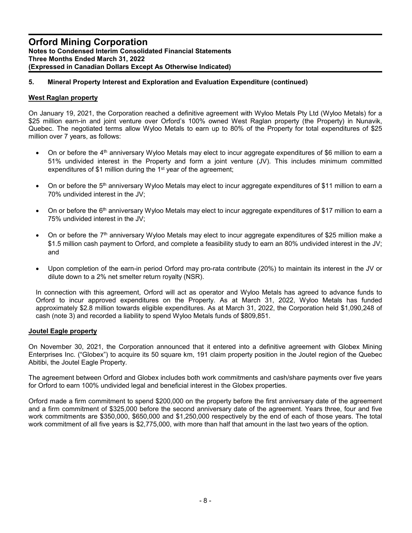# **5. Mineral Property Interest and Exploration and Evaluation Expenditure (continued)**

#### **West Raglan property**

On January 19, 2021, the Corporation reached a definitive agreement with Wyloo Metals Pty Ltd (Wyloo Metals) for a \$25 million earn-in and joint venture over Orford's 100% owned West Raglan property (the Property) in Nunavik, Quebec. The negotiated terms allow Wyloo Metals to earn up to 80% of the Property for total expenditures of \$25 million over 7 years, as follows:

- $\bullet$  On or before the 4<sup>th</sup> anniversary Wyloo Metals may elect to incur aggregate expenditures of \$6 million to earn a 51% undivided interest in the Property and form a joint venture (JV). This includes minimum committed expenditures of \$1 million during the 1<sup>st</sup> year of the agreement;
- $\bullet$  On or before the 5<sup>th</sup> anniversary Wyloo Metals may elect to incur aggregate expenditures of \$11 million to earn a 70% undivided interest in the JV;
- On or before the 6<sup>th</sup> anniversary Wyloo Metals may elect to incur aggregate expenditures of \$17 million to earn a 75% undivided interest in the JV;
- $\bullet$  On or before the 7<sup>th</sup> anniversary Wyloo Metals may elect to incur aggregate expenditures of \$25 million make a \$1.5 million cash payment to Orford, and complete a feasibility study to earn an 80% undivided interest in the JV; and
- Upon completion of the earn-in period Orford may pro-rata contribute (20%) to maintain its interest in the JV or dilute down to a 2% net smelter return royalty (NSR).

In connection with this agreement, Orford will act as operator and Wyloo Metals has agreed to advance funds to Orford to incur approved expenditures on the Property. As at March 31, 2022, Wyloo Metals has funded approximately \$2.8 million towards eligible expenditures. As at March 31, 2022, the Corporation held \$1,090,248 of cash (note 3) and recorded a liability to spend Wyloo Metals funds of \$809,851.

#### **Joutel Eagle property**

On November 30, 2021, the Corporation announced that it entered into a definitive agreement with Globex Mining Enterprises Inc. ("Globex") to acquire its 50 square km, 191 claim property position in the Joutel region of the Quebec Abitibi, the Joutel Eagle Property.

The agreement between Orford and Globex includes both work commitments and cash/share payments over five years for Orford to earn 100% undivided legal and beneficial interest in the Globex properties.

Orford made a firm commitment to spend \$200,000 on the property before the first anniversary date of the agreement and a firm commitment of \$325,000 before the second anniversary date of the agreement. Years three, four and five work commitments are \$350,000, \$650,000 and \$1,250,000 respectively by the end of each of those years. The total work commitment of all five years is \$2,775,000, with more than half that amount in the last two years of the option.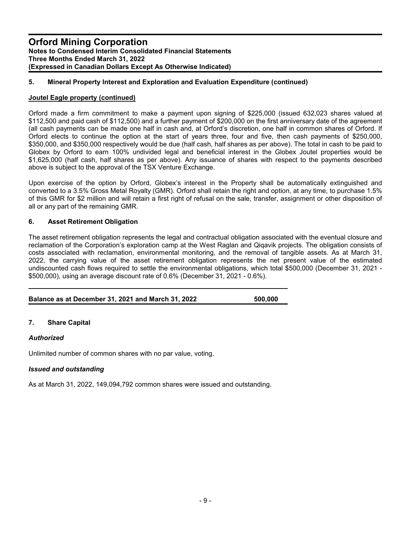## **5. Mineral Property Interest and Exploration and Evaluation Expenditure (continued)**

#### **Joutel Eagle property (continued)**

Orford made a firm commitment to make a payment upon signing of \$225,000 (issued 632,023 shares valued at \$112,500 and paid cash of \$112,500) and a further payment of \$200,000 on the first anniversary date of the agreement (all cash payments can be made one half in cash and, at Orford's discretion, one half in common shares of Orford. If Orford elects to continue the option at the start of years three, four and five, then cash payments of \$250,000, \$350,000, and \$350,000 respectively would be due (half cash, half shares as per above). The total in cash to be paid to Globex by Orford to earn 100% undivided legal and beneficial interest in the Globex Joutel properties would be \$1,625,000 (half cash, half shares as per above). Any issuance of shares with respect to the payments described above is subject to the approval of the TSX Venture Exchange.

Upon exercise of the option by Orford, Globex's interest in the Property shall be automatically extinguished and converted to a 3.5% Gross Metal Royalty (GMR). Orford shall retain the right and option, at any time, to purchase 1.5% of this GMR for \$2 million and will retain a first right of refusal on the sale, transfer, assignment or other disposition of all or any part of the remaining GMR.

#### **6. Asset Retirement Obligation**

The asset retirement obligation represents the legal and contractual obligation associated with the eventual closure and reclamation of the Corporation's exploration camp at the West Raglan and Qiqavik projects. The obligation consists of costs associated with reclamation, environmental monitoring, and the removal of tangible assets. As at March 31, 2022, the carrying value of the asset retirement obligation represents the net present value of the estimated undiscounted cash flows required to settle the environmental obligations, which total \$500,000 (December 31, 2021 - \$500,000), using an average discount rate of 0.6% (December 31, 2021 - 0.6%).

| Balance as at December 31, 2021 and March 31, 2022 | 500,000 |
|----------------------------------------------------|---------|

# **7. Share Capital**

#### *Authorized*

Unlimited number of common shares with no par value, voting.

#### *Issued and outstanding*

As at March 31, 2022, 149,094,792 common shares were issued and outstanding.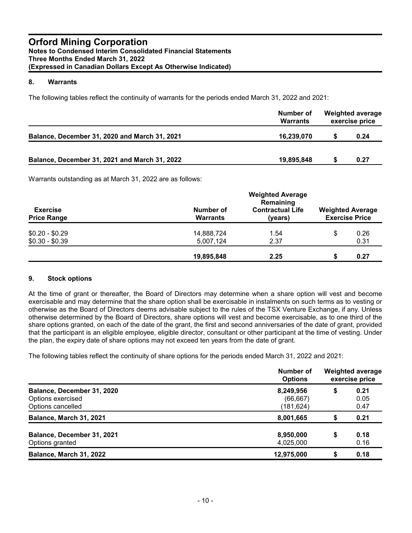#### **8. Warrants**

The following tables reflect the continuity of warrants for the periods ended March 31, 2022 and 2021:

|                                               | Number of<br><b>Warrants</b> | <b>Weighted average</b><br>exercise price |      |  |
|-----------------------------------------------|------------------------------|-------------------------------------------|------|--|
| Balance, December 31, 2020 and March 31, 2021 | 16,239,070                   |                                           | 0.24 |  |
| Balance, December 31, 2021 and March 31, 2022 | 19,895,848                   |                                           | 0.27 |  |

Warrants outstanding as at March 31, 2022 are as follows:

|                                       | <b>Weighted Average</b><br>Remaining |                                    |                                                  |              |  |  |  |
|---------------------------------------|--------------------------------------|------------------------------------|--------------------------------------------------|--------------|--|--|--|
| <b>Exercise</b><br><b>Price Range</b> | Number of<br><b>Warrants</b>         | <b>Contractual Life</b><br>(years) | <b>Weighted Average</b><br><b>Exercise Price</b> |              |  |  |  |
| $$0.20 - $0.29$<br>$$0.30 - $0.39$    | 14,888,724                           | 1.54<br>2.37                       | S                                                | 0.26         |  |  |  |
|                                       | 5,007,124<br>19,895,848              | 2.25                               | S                                                | 0.31<br>0.27 |  |  |  |

#### **9. Stock options**

At the time of grant or thereafter, the Board of Directors may determine when a share option will vest and become exercisable and may determine that the share option shall be exercisable in instalments on such terms as to vesting or otherwise as the Board of Directors deems advisable subject to the rules of the TSX Venture Exchange, if any. Unless otherwise determined by the Board of Directors, share options will vest and become exercisable, as to one third of the share options granted, on each of the date of the grant, the first and second anniversaries of the date of grant, provided that the participant is an eligible employee, eligible director, consultant or other participant at the time of vesting. Under the plan, the expiry date of share options may not exceed ten years from the date of grant.

The following tables reflect the continuity of share options for the periods ended March 31, 2022 and 2021:

|                                                                      | Number of<br><b>Options</b>          | <b>Weighted average</b><br>exercise price |                      |  |  |
|----------------------------------------------------------------------|--------------------------------------|-------------------------------------------|----------------------|--|--|
| Balance, December 31, 2020<br>Options exercised<br>Options cancelled | 8,249,956<br>(66, 667)<br>(181, 624) | \$                                        | 0.21<br>0.05<br>0.47 |  |  |
| Balance, March 31, 2021                                              | 8,001,665                            | S                                         | 0.21                 |  |  |
| Balance, December 31, 2021<br>Options granted                        | 8,950,000<br>4,025,000               | S                                         | 0.18<br>0.16         |  |  |
| Balance, March 31, 2022                                              | 12,975,000                           |                                           | 0.18                 |  |  |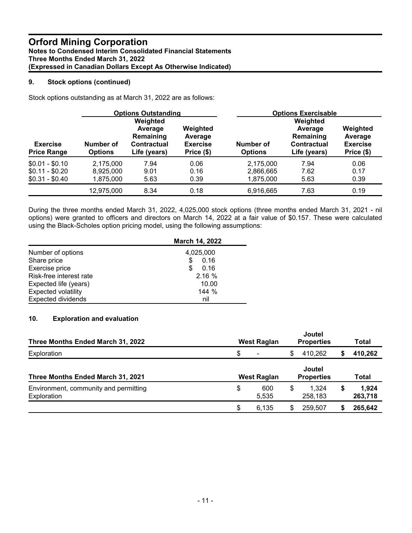## **9. Stock options (continued)**

Stock options outstanding as at March 31, 2022 are as follows:

|                                       |                             | <b>Options Outstanding</b>                                      |                                                      | <b>Options Exercisable</b>  |                                                                        |                                                      |
|---------------------------------------|-----------------------------|-----------------------------------------------------------------|------------------------------------------------------|-----------------------------|------------------------------------------------------------------------|------------------------------------------------------|
| <b>Exercise</b><br><b>Price Range</b> | Number of<br><b>Options</b> | Weighted<br>Average<br>Remaining<br>Contractual<br>Life (years) | Weighted<br>Average<br><b>Exercise</b><br>Price (\$) | Number of<br><b>Options</b> | Weighted<br>Average<br>Remaining<br><b>Contractual</b><br>Life (years) | Weighted<br>Average<br><b>Exercise</b><br>Price (\$) |
| $$0.01 - $0.10$                       | 2,175,000                   | 7.94                                                            | 0.06                                                 | 2,175,000                   | 7.94                                                                   | 0.06                                                 |
| $$0.11 - $0.20$                       | 8,925,000                   | 9.01                                                            | 0.16                                                 | 2,866,665                   | 7.62                                                                   | 0.17                                                 |
| $$0.31 - $0.40$                       | 1,875,000                   | 5.63                                                            | 0.39                                                 | 1,875,000                   | 5.63                                                                   | 0.39                                                 |
|                                       | 12,975,000                  | 8.34                                                            | 0.18                                                 | 6,916,665                   | 7.63                                                                   | 0.19                                                 |

During the three months ended March 31, 2022, 4,025,000 stock options (three months ended March 31, 2021 - nil options) were granted to officers and directors on March 14, 2022 at a fair value of \$0.157. These were calculated using the Black-Scholes option pricing model, using the following assumptions:

|                            | March 14, 2022 |
|----------------------------|----------------|
| Number of options          | 4,025,000      |
| Share price                | 0.16<br>S      |
| Exercise price             | 0.16<br>S      |
| Risk-free interest rate    | 2.16%          |
| Expected life (years)      | 10.00          |
| <b>Expected volatility</b> | 144%           |
| <b>Expected dividends</b>  | nil            |

# **10. Exploration and evaluation**

| Three Months Ended March 31, 2022                    | West Raglan          |   | Joutel<br><b>Properties</b>        |   | Total            |  |
|------------------------------------------------------|----------------------|---|------------------------------------|---|------------------|--|
| Exploration                                          | \$<br>$\blacksquare$ | S | 410,262                            |   | 410,262          |  |
| Three Months Ended March 31, 2021                    | West Raglan          |   | <b>Joutel</b><br><b>Properties</b> |   | Total            |  |
| Environment, community and permitting<br>Exploration | \$<br>600<br>5,535   | S | 1.324<br>258,183                   | S | 1.924<br>263,718 |  |
|                                                      | \$<br>6.135          |   | 259.507                            |   | 265,642          |  |